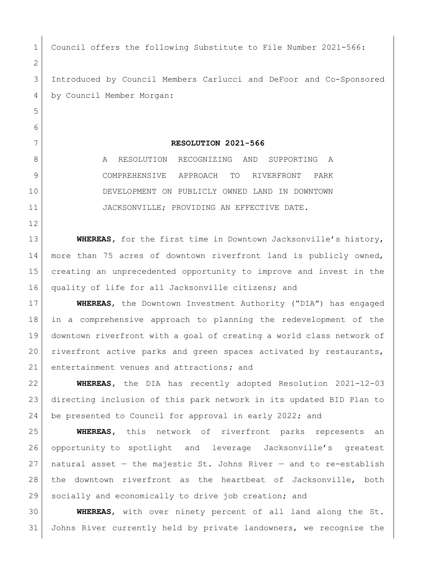1 Council offers the following Substitute to File Number 2021-566: Introduced by Council Members Carlucci and DeFoor and Co-Sponsored by Council Member Morgan: **RESOLUTION 2021-566** 8 A RESOLUTION RECOGNIZING AND SUPPORTING A COMPREHENSIVE APPROACH TO RIVERFRONT PARK DEVELOPMENT ON PUBLICLY OWNED LAND IN DOWNTOWN JACKSONVILLE; PROVIDING AN EFFECTIVE DATE. **WHEREAS,** for the first time in Downtown Jacksonville's history, more than 75 acres of downtown riverfront land is publicly owned, creating an unprecedented opportunity to improve and invest in the quality of life for all Jacksonville citizens; and **WHEREAS**, the Downtown Investment Authority ("DIA") has engaged in a comprehensive approach to planning the redevelopment of the downtown riverfront with a goal of creating a world class network of riverfront active parks and green spaces activated by restaurants, entertainment venues and attractions**;** and **WHEREAS,** the DIA has recently adopted Resolution 2021-12-03 directing inclusion of this park network in its updated BID Plan to be presented to Council for approval in early 2022; and **WHEREAS,** this network of riverfront parks represents an opportunity to spotlight and leverage Jacksonville's greatest 27 | natural asset  $-$  the majestic St. Johns River  $-$  and to re-establish the downtown riverfront as the heartbeat of Jacksonville, both socially and economically to drive job creation; and **WHEREAS**, with over ninety percent of all land along the St.

Johns River currently held by private landowners, we recognize the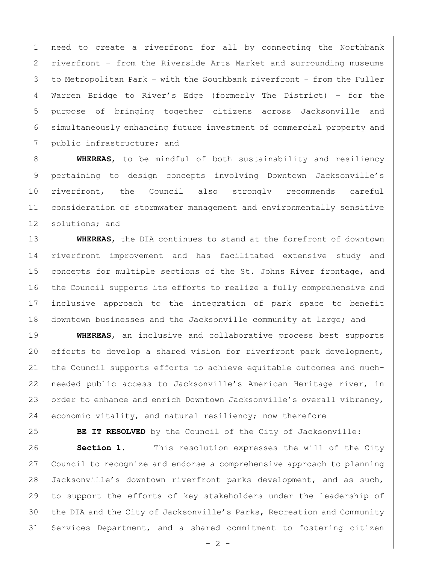need to create a riverfront for all by connecting the Northbank riverfront – from the Riverside Arts Market and surrounding museums to Metropolitan Park – with the Southbank riverfront – from the Fuller Warren Bridge to River's Edge (formerly The District) – for the purpose of bringing together citizens across Jacksonville and simultaneously enhancing future investment of commercial property and 7 public infrastructure; and

 **WHEREAS**, to be mindful of both sustainability and resiliency pertaining to design concepts involving Downtown Jacksonville's riverfront, the Council also strongly recommends careful consideration of stormwater management and environmentally sensitive 12 solutions; and

 **WHEREAS**, the DIA continues to stand at the forefront of downtown riverfront improvement and has facilitated extensive study and 15 concepts for multiple sections of the St. Johns River frontage, and the Council supports its efforts to realize a fully comprehensive and inclusive approach to the integration of park space to benefit downtown businesses and the Jacksonville community at large; and

 **WHEREAS**, an inclusive and collaborative process best supports efforts to develop a shared vision for riverfront park development, the Council supports efforts to achieve equitable outcomes and much- needed public access to Jacksonville's American Heritage river, in 23 order to enhance and enrich Downtown Jacksonville's overall vibrancy, 24 economic vitality, and natural resiliency; now therefore

**BE IT RESOLVED** by the Council of the City of Jacksonville:

**Section 1.** This resolution expresses the will of the City Council to recognize and endorse a comprehensive approach to planning Jacksonville's downtown riverfront parks development, and as such, to support the efforts of key stakeholders under the leadership of the DIA and the City of Jacksonville's Parks, Recreation and Community Services Department, and a shared commitment to fostering citizen